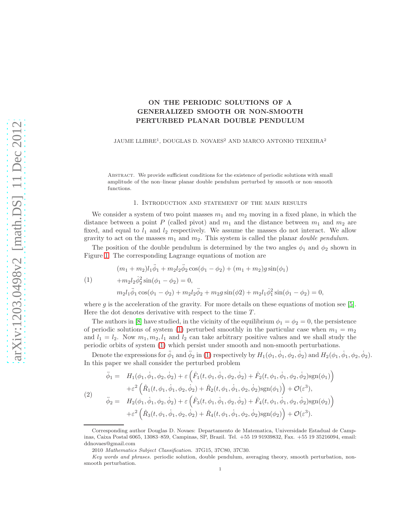# ON THE PERIODIC SOLUTIONS OF A GENERALIZED SMOOTH OR NON-SMOOTH PERTURBED PLANAR DOUBLE PENDULUM

JAUME LLIBRE<sup>1</sup>, DOUGLAS D. NOVAES<sup>2</sup> AND MARCO ANTONIO TEIXEIRA<sup>2</sup>

Abstract. We provide sufficient conditions for the existence of periodic solutions with small amplitude of the non–linear planar double pendulum perturbed by smooth or non–smooth functions.

### 1. Introduction and statement of the main results

We consider a system of two point masses  $m_1$  and  $m_2$  moving in a fixed plane, in which the distance between a point P (called pivot) and  $m_1$  and the distance between  $m_1$  and  $m_2$  are fixed, and equal to  $l_1$  and  $l_2$  respectively. We assume the masses do not interact. We allow gravity to act on the masses  $m_1$  and  $m_2$ . This system is called the planar *double pendulum*.

The position of the double pendulum is determined by the two angles  $\phi_1$  and  $\phi_2$  shown in Figure [1.](#page-1-0) The corresponding Lagrange equations of motion are

<span id="page-0-0"></span>
$$
(m_1 + m_2)l_1\ddot{\phi}_1 + m_2l_2\ddot{\phi}_2\cos(\phi_1 - \phi_2) + (m_1 + m_2)g\sin(\phi_1)
$$

(1) 
$$
+m_2l_2\dot{\phi}_2^2\sin(\phi_1-\phi_2)=0,
$$

$$
m_2l_1\ddot{\phi}_1\cos(\phi_1-\phi_2)+m_2l_2\ddot{\phi}_2+m_2g\sin(\phi_2)+m_2l_1\dot{\phi}_1^2\sin(\phi_1-\phi_2)=0,
$$

where q is the acceleration of the gravity. For more details on these equations of motion see [\[5\]](#page-16-0). Here the dot denotes derivative with respect to the time  $T$ .

The authors in [\[8\]](#page-16-1) have studied, in the vicinity of the equilibrium  $\phi_1 = \phi_2 = 0$ , the persistence of periodic solutions of system [\(1\)](#page-0-0) perturbed smoothly in the particular case when  $m_1 = m_2$ and  $l_1 = l_2$ . Now  $m_1, m_2, l_1$  and  $l_2$  can take arbitrary positive values and we shall study the periodic orbits of system [\(1\)](#page-0-0) which persist under smooth and non-smooth perturbations.

Denote the expressions for  $\ddot{\phi}_1$  and  $\ddot{\phi}_2$  in [\(1\)](#page-0-0) respectively by  $H_1(\phi_1, \dot{\phi}_1, \phi_2, \dot{\phi}_2)$  and  $H_2(\phi_1, \dot{\phi}_1, \phi_2, \dot{\phi}_2)$ . In this paper we shall consider the perturbed problem

<span id="page-0-1"></span>
$$
\ddot{\phi}_1 = H_1(\phi_1, \dot{\phi}_1, \phi_2, \dot{\phi}_2) + \varepsilon \left( \hat{F}_1(t, \phi_1, \dot{\phi}_1, \phi_2, \dot{\phi}_2) + \hat{F}_2(t, \phi_1, \dot{\phi}_1, \phi_2, \dot{\phi}_2) \text{sgn}(\phi_1) \right) \n+ \varepsilon^2 \left( \hat{R}_1(t, \phi_1, \dot{\phi}_1, \phi_2, \dot{\phi}_2) + \hat{R}_2(t, \phi_1, \dot{\phi}_1, \phi_2, \dot{\phi}_2) \text{sgn}(\phi_1) \right) + \mathcal{O}(\varepsilon^3), \n\ddot{\phi}_2 = H_2(\phi_1, \dot{\phi}_1, \phi_2, \dot{\phi}_2) + \varepsilon \left( \hat{F}_3(t, \phi_1, \dot{\phi}_1, \phi_2, \dot{\phi}_2) + \hat{F}_4(t, \phi_1, \dot{\phi}_1, \phi_2, \dot{\phi}_2) \text{sgn}(\phi_2) \right) \n+ \varepsilon^2 \left( \hat{R}_3(t, \phi_1, \dot{\phi}_1, \phi_2, \dot{\phi}_2) + \hat{R}_4(t, \phi_1, \dot{\phi}_1, \phi_2, \dot{\phi}_2) \text{sgn}(\phi_2) \right) + \mathcal{O}(\varepsilon^3).
$$

Corresponding author Douglas D. Novaes: Departamento de Matematica, Universidade Estadual de Campinas, Caixa Postal 6065, 13083–859, Campinas, SP, Brazil. Tel. +55 19 91939832, Fax. +55 19 35216094, email: ddnovaes@gmail.com

<sup>2010</sup> Mathematics Subject Classification. 37G15, 37C80, 37C30.

Key words and phrases. periodic solution, double pendulum, averaging theory, smooth perturbation, nonsmooth perturbation.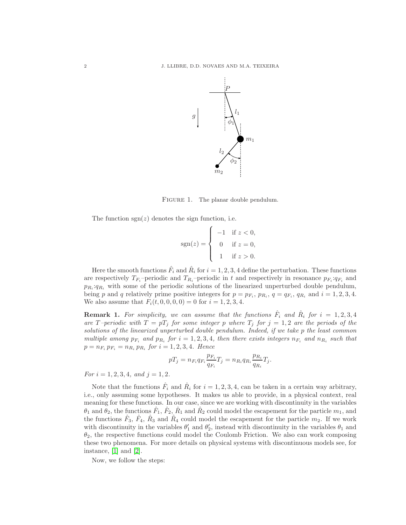

FIGURE 1. The planar double pendulum.

The function  $sgn(z)$  denotes the sign function, i.e.

<span id="page-1-0"></span>
$$
sgn(z) = \begin{cases} -1 & \text{if } z < 0, \\ 0 & \text{if } z = 0, \\ 1 & \text{if } z > 0. \end{cases}
$$

Here the smooth functions  $\hat{F}_i$  and  $\hat{R}_i$  for  $i = 1, 2, 3, 4$  define the perturbation. These functions are respectively  $T_{F_i}$ -periodic and  $T_{R_i}$ -periodic in t and respectively in resonance  $p_{F_i}:q_{F_i}$  and  $p_{R_i}:q_{R_i}$  with some of the periodic solutions of the linearized unperturbed double pendulum, being p and q relatively prime positive integers for  $p = p_{F_i}, p_{R_i}, q = q_{F_i}, q_{R_i}$  and  $i = 1, 2, 3, 4$ . We also assume that  $F_i(t, 0, 0, 0, 0) = 0$  for  $i = 1, 2, 3, 4$ .

**Remark 1.** For simplicity, we can assume that the functions  $\hat{F}_i$  and  $\hat{R}_i$  for  $i = 1, 2, 3, 4$ are T-periodic with  $T = pT_j$  for some integer p where  $T_j$  for  $j = 1, 2$  are the periods of the solutions of the linearized unperturbed double pendulum. Indeed, if we take p the least common multiple among  $p_{F_i}$  and  $p_{R_i}$  for  $i = 1, 2, 3, 4$ , then there exists integers  $n_{F_i}$  and  $n_{R_i}$  such that  $p = n_{F_i} p_{F_i} = n_{R_i} p_{R_i}$  for  $i = 1, 2, 3, 4$ . Hence

$$
pT_j = n_{F_i}q_{F_i}\frac{p_{F_i}}{q_{F_i}}T_j = n_{R_i}q_{R_i}\frac{p_{R_i}}{q_{R_i}}T_j.
$$

For  $i = 1, 2, 3, 4,$  and  $j = 1, 2$ .

Note that the functions  $\hat{F}_i$  and  $\hat{R}_i$  for  $i = 1, 2, 3, 4$ , can be taken in a certain way arbitrary, i.e., only assuming some hypotheses. It makes us able to provide, in a physical context, real meaning for these functions. In our case, since we are working with discontinuity in the variables  $\theta_1$  and  $\theta_2$ , the functions  $\hat{F}_1$ ,  $\hat{F}_2$ ,  $\hat{R}_1$  and  $\hat{R}_2$  could model the escapement for the particle  $m_1$ , and the functions  $\hat{F}_3$ ,  $\hat{F}_4$ ,  $\hat{R}_3$  and  $\hat{R}_4$  could model the escapement for the particle  $m_2$ . If we work with discontinuity in the variables  $\theta'_1$  and  $\theta'_2$ , instead with discontinuity in the variables  $\theta_1$  and  $\theta_2$ , the respective functions could model the Coulomb Friction. We also can work composing these two phenomena. For more details on physical systems with discontinuous models see, for instance, [\[1\]](#page-16-2) and [\[2\]](#page-16-3).

Now, we follow the steps: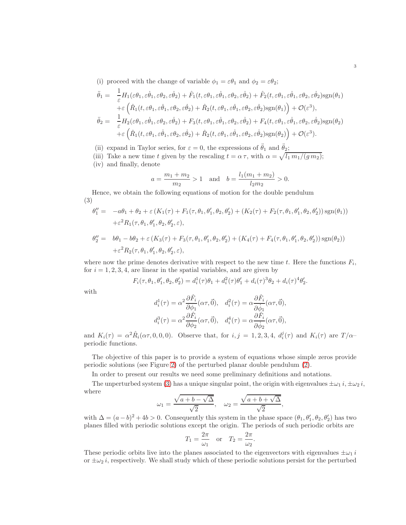(i) proceed with the change of variable  $\phi_1 = \varepsilon \theta_1$  and  $\phi_2 = \varepsilon \theta_2$ ;

$$
\ddot{\theta}_{1} = \frac{1}{\varepsilon} H_{1}(\varepsilon \theta_{1}, \varepsilon \dot{\theta}_{1}, \varepsilon \theta_{2}, \varepsilon \dot{\theta}_{2}) + \hat{F}_{1}(t, \varepsilon \theta_{1}, \varepsilon \dot{\theta}_{1}, \varepsilon \dot{\theta}_{2}, \varepsilon \dot{\theta}_{2}) + \hat{F}_{2}(t, \varepsilon \theta_{1}, \varepsilon \dot{\theta}_{1}, \varepsilon \theta_{2}, \varepsilon \dot{\theta}_{2}) \text{sgn}(\theta_{1}) \n+ \varepsilon \left( \hat{R}_{1}(t, \varepsilon \theta_{1}, \varepsilon \dot{\theta}_{1}, \varepsilon \theta_{2}, \varepsilon \dot{\theta}_{2}) + \hat{R}_{2}(t, \varepsilon \theta_{1}, \varepsilon \dot{\theta}_{1}, \varepsilon \theta_{2}, \varepsilon \dot{\theta}_{2}) \text{sgn}(\theta_{1}) \right) + \mathcal{O}(\varepsilon^{3}), \n\ddot{\theta}_{2} = \frac{1}{\varepsilon} H_{2}(\varepsilon \theta_{1}, \varepsilon \dot{\theta}_{1}, \varepsilon \theta_{2}, \varepsilon \dot{\theta}_{2}) + F_{3}(t, \varepsilon \theta_{1}, \varepsilon \dot{\theta}_{1}, \varepsilon \theta_{2}, \varepsilon \dot{\theta}_{2}) + F_{4}(t, \varepsilon \theta_{1}, \varepsilon \dot{\theta}_{1}, \varepsilon \theta_{2}, \varepsilon \dot{\theta}_{2}) \text{sgn}(\theta_{2}) \n+ \varepsilon \left( \hat{R}_{1}(t, \varepsilon \theta_{1}, \varepsilon \dot{\theta}_{1}, \varepsilon \theta_{2}, \varepsilon \dot{\theta}_{2}) + \hat{R}_{2}(t, \varepsilon \theta_{1}, \varepsilon \dot{\theta}_{1}, \varepsilon \theta_{2}, \varepsilon \dot{\theta}_{2}) \text{sgn}(\theta_{2}) \right) + \mathcal{O}(\varepsilon^{3}).
$$

(ii) expand in Taylor series, for  $\varepsilon = 0$ , the expressions of  $\ddot{\theta}_1$  and  $\ddot{\theta}_2$ ;

(iii) Take a new time t given by the rescaling  $t = \alpha \tau$ , with  $\alpha = \sqrt{l_1 m_1/(g m_2)}$ ;

(iv) and finally, denote

$$
a = \frac{m_1 + m_2}{m_2} > 1
$$
 and  $b = \frac{l_1(m_1 + m_2)}{l_2 m_2} > 0.$ 

Hence, we obtain the following equations of motion for the double pendulum (3)

$$
\theta_1'' = -a\theta_1 + \theta_2 + \varepsilon (K_1(\tau) + F_1(\tau, \theta_1, \theta_1', \theta_2, \theta_2') + (K_2(\tau) + F_2(\tau, \theta_1, \theta_1', \theta_2, \theta_2')) \operatorname{sgn}(\theta_1)) + \varepsilon^2 R_1(\tau, \theta_1, \theta_1', \theta_2, \theta_2', \varepsilon),
$$

<span id="page-2-0"></span>
$$
\theta_2'' = b\theta_1 - b\theta_2 + \varepsilon (K_3(\tau) + F_3(\tau, \theta_1, \theta_1', \theta_2, \theta_2') + (K_4(\tau) + F_4(\tau, \theta_1, \theta_1', \theta_2, \theta_2')) \operatorname{sgn}(\theta_2)) + \varepsilon^2 R_2(\tau, \theta_1, \theta_1', \theta_2, \theta_2', \varepsilon),
$$

where now the prime denotes derivative with respect to the new time t. Here the functions  $F_i$ , for  $i = 1, 2, 3, 4$ , are linear in the spatial variables, and are given by

$$
F_i(\tau, \theta_1, \theta_1', \theta_2, \theta_2') = d_i^1(\tau)\theta_1 + d_i^2(\tau)\theta_1' + d_i(\tau)^3\theta_2 + d_i(\tau)^4\theta_2'
$$

.

with

$$
d_i^1(\tau) = \alpha^2 \frac{\partial \hat{F}_i}{\partial \phi_1} (\alpha \tau, \vec{0}), \quad d_i^2(\tau) = \alpha \frac{\partial \hat{F}_i}{\partial \dot{\phi}_1} (\alpha \tau, \vec{0}),
$$
  

$$
d_i^3(\tau) = \alpha^2 \frac{\partial \hat{F}_i}{\partial \phi_2} (\alpha \tau, \vec{0}), \quad d_i^4(\tau) = \alpha \frac{\partial \hat{F}_i}{\partial \dot{\phi}_2} (\alpha \tau, \vec{0}),
$$

and  $K_i(\tau) = \alpha^2 \hat{R}_i(\alpha \tau, 0, 0, 0)$ . Observe that, for  $i, j = 1, 2, 3, 4$ ,  $d_i^j(\tau)$  and  $K_i(\tau)$  are  $T/\alpha$ periodic functions.

The objective of this paper is to provide a system of equations whose simple zeros provide periodic solutions (see Figure [2\)](#page-3-0) of the perturbed planar double pendulum [\(2\)](#page-0-1).

In order to present our results we need some preliminary definitions and notations.

The unperturbed system [\(3\)](#page-2-0) has a unique singular point, the origin with eigenvalues  $\pm \omega_1 i$ ,  $\pm \omega_2 i$ , where

$$
\omega_1 = \frac{\sqrt{a+b-\sqrt{\Delta}}}{\sqrt{2}}, \quad \omega_2 = \frac{\sqrt{a+b+\sqrt{\Delta}}}{\sqrt{2}},
$$

with  $\Delta = (a-b)^2 + 4b > 0$ . Consequently this system in the phase space  $(\theta_1, \theta_1', \theta_2, \theta_2')$  has two planes filled with periodic solutions except the origin. The periods of such periodic orbits are

$$
T_1 = \frac{2\pi}{\omega_1}
$$
 or  $T_2 = \frac{2\pi}{\omega_2}$ .

These periodic orbits live into the planes associated to the eigenvectors with eigenvalues  $\pm \omega_1 i$ or  $\pm\omega_2 i$ , respectively. We shall study which of these periodic solutions persist for the perturbed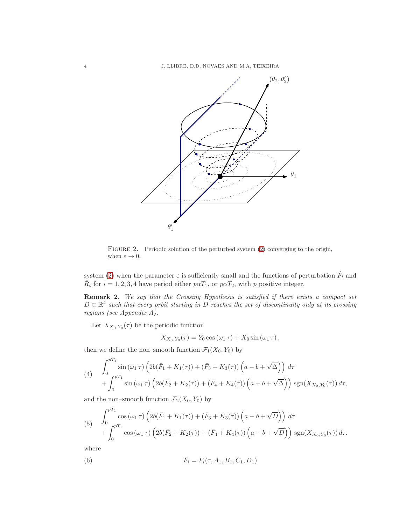4 J. LLIBRE, D.D. NOVAES AND M.A. TEIXEIRA



<span id="page-3-0"></span>FIGURE 2. Periodic solution of the perturbed system [\(2\)](#page-0-1) converging to the origin, when  $\varepsilon \to 0$ .

system [\(2\)](#page-0-1) when the parameter  $\varepsilon$  is sufficiently small and the functions of perturbation  $\hat{F}_i$  and  $\hat{R}_i$  for  $i = 1, 2, 3, 4$  have period either  $p\alpha T_1$ , or  $p\alpha T_2$ , with p positive integer.

<span id="page-3-1"></span>Remark 2. We say that the Crossing Hypothesis is satisfied if there exists a compact set  $D \subset \mathbb{R}^4$  such that every orbit starting in D reaches the set of discontinuity only at its crossing regions (see Appendix A).

Let  $X_{X_0,Y_0}(\tau)$  be the periodic function

$$
X_{X_0,Y_0}(\tau) = Y_0 \cos(\omega_1 \tau) + X_0 \sin(\omega_1 \tau),
$$

then we define the non–smooth function  $\mathcal{F}_1(X_0, Y_0)$  by

<span id="page-3-3"></span>(4) 
$$
\int_0^{pT_1} \sin(\omega_1 \tau) \left( 2b(\bar{F}_1 + K_1(\tau)) + (\bar{F}_3 + K_3(\tau)) \left( a - b + \sqrt{\Delta} \right) \right) d\tau + \int_0^{pT_1} \sin(\omega_1 \tau) \left( 2b(\bar{F}_2 + K_2(\tau)) + (\bar{F}_4 + K_4(\tau)) \left( a - b + \sqrt{\Delta} \right) \right) \text{sgn}(X_{X_0, Y_0}(\tau)) d\tau,
$$

and the non–smooth function  $\mathcal{F}_2(X_0, Y_0)$  by

<span id="page-3-4"></span>(5) 
$$
\int_0^{pT_1} \cos(\omega_1 \tau) \left( 2b(\bar{F}_1 + K_1(\tau)) + (\bar{F}_3 + K_3(\tau)) \left( a - b + \sqrt{D} \right) \right) d\tau + \int_0^{pT_1} \cos(\omega_1 \tau) \left( 2b(\bar{F}_2 + K_2(\tau)) + (\bar{F}_4 + K_4(\tau)) \left( a - b + \sqrt{D} \right) \right) \text{sgn}(X_{X_0, Y_0}(\tau)) d\tau.
$$

where

<span id="page-3-2"></span>(6) 
$$
\bar{F}_i = F_i(\tau, A_1, B_1, C_1, D_1)
$$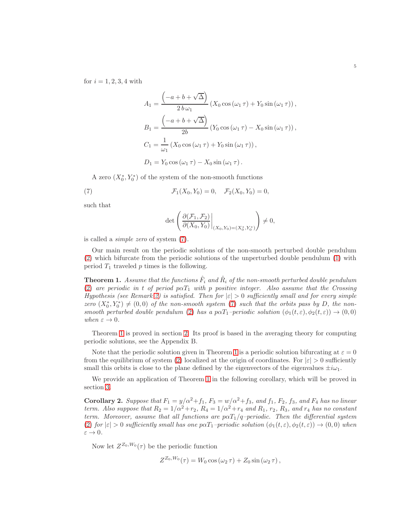for  $i = 1, 2, 3, 4$  with

$$
A_1 = \frac{\left(-a+b+\sqrt{\Delta}\right)}{2\,b\,\omega_1} \left(X_0\cos\left(\omega_1\,\tau\right) + Y_0\sin\left(\omega_1\,\tau\right)\right),
$$
  
\n
$$
B_1 = \frac{\left(-a+b+\sqrt{\Delta}\right)}{2b} \left(Y_0\cos\left(\omega_1\,\tau\right) - X_0\sin\left(\omega_1\,\tau\right)\right),
$$
  
\n
$$
C_1 = \frac{1}{\omega_1} \left(X_0\cos\left(\omega_1\,\tau\right) + Y_0\sin\left(\omega_1\,\tau\right)\right),
$$
  
\n
$$
D_1 = Y_0\cos\left(\omega_1\,\tau\right) - X_0\sin\left(\omega_1\,\tau\right).
$$

A zero  $(X_0^*, Y_0^*)$  of the system of the non-smooth functions

(7)  $\mathcal{F}_1(X_0, Y_0) = 0, \quad \mathcal{F}_2(X_0, Y_0) = 0,$ 

such that

<span id="page-4-0"></span>
$$
\det\left(\left.\frac{\partial(\mathcal{F}_1,\mathcal{F}_2)}{\partial(X_0,Y_0)}\right|_{(X_0,Y_0)=(X_0^*,Y_0^*)}\right)\neq 0,
$$

is called a simple zero of system [\(7\)](#page-4-0).

Our main result on the periodic solutions of the non-smooth perturbed double pendulum [\(2\)](#page-0-1) which bifurcate from the periodic solutions of the unperturbed double pendulum [\(1\)](#page-0-0) with period  $T_1$  traveled  $p$  times is the following.

<span id="page-4-1"></span>**Theorem 1.** Assume that the functions  $\hat{F}_i$  and  $\hat{R}_i$  of the non-smooth perturbed double pendulum [\(2\)](#page-0-1) are periodic in t of period  $p\alpha T_1$  with p positive integer. Also assume that the Crossing Hypothesis (see Remark [2\)](#page-3-1) is satisfied. Then for  $|\varepsilon| > 0$  sufficiently small and for every simple zero  $(X_0^*, Y_0^*) \neq (0, 0)$  of the non-smooth system [\(7\)](#page-4-0) such that the orbits pass by D, the non-smooth perturbed double pendulum [\(2\)](#page-0-1) has a pa $T_1$ -periodic solution  $(\phi_1(t, \varepsilon), \phi_2(t, \varepsilon)) \to (0, 0)$ when  $\varepsilon \to 0$ .

Theorem [1](#page-4-1) is proved in section [2.](#page-6-0) Its proof is based in the averaging theory for computing periodic solutions, see the Appendix B.

Note that the periodic solution given in Theorem [1](#page-4-1) is a periodic solution bifurcating at  $\varepsilon = 0$ from the equilibrium of system [\(2\)](#page-0-1) localized at the origin of coordinates. For  $|\varepsilon| > 0$  sufficiently small this orbits is close to the plane defined by the eigenvectors of the eigenvalues  $\pm i\omega_1$ .

We provide an application of Theorem [1](#page-4-1) in the following corollary, which will be proved in section [3.](#page-11-0)

<span id="page-4-2"></span>Corollary 2. Suppose that  $F_1 = y/\alpha^2 + f_1$ ,  $F_3 = w/\alpha^2 + f_3$ , and  $f_1$ ,  $F_2$ ,  $f_3$ , and  $F_4$  has no linear term. Also suppose that  $R_2 = 1/\alpha^2 + r_2$ ,  $R_4 = 1/\alpha^2 + r_4$  and  $R_1$ ,  $r_2$ ,  $R_3$ , and  $r_4$  has no constant term. Moreover, assume that all functions are  $p\alpha T_1/q$ -periodic. Then the differential system [\(2\)](#page-0-1) for  $|\varepsilon| > 0$  sufficiently small has one point point solution  $(\phi_1(t, \varepsilon), \phi_2(t, \varepsilon)) \to (0, 0)$  when  $\varepsilon \to 0.$ 

Now let  $Z^{Z_0,W_0}(\tau)$  be the periodic function

$$
Z^{Z_0,W_0}(\tau) = W_0 \cos(\omega_2 \tau) + Z_0 \sin(\omega_2 \tau),
$$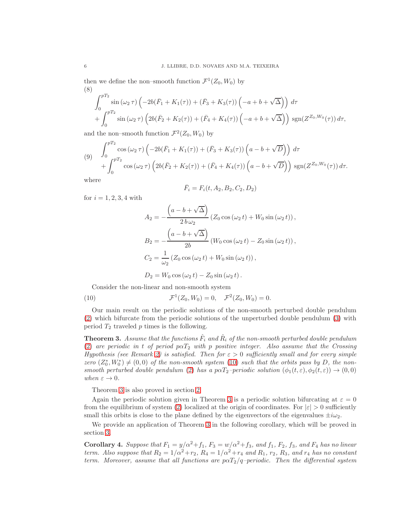then we define the non–smooth function  $\mathcal{F}^1(Z_0, W_0)$  by (8)

$$
\int_0^{pT_2} \sin(\omega_2 \tau) \left( -2b(\bar{F}_1 + K_1(\tau)) + (\bar{F}_3 + K_3(\tau)) \left( -a + b + \sqrt{\Delta} \right) \right) d\tau + \int_0^{pT_2} \sin(\omega_2 \tau) \left( 2b(\bar{F}_2 + K_2(\tau)) + (\bar{F}_4 + K_4(\tau)) \left( -a + b + \sqrt{\Delta} \right) \right) \text{sgn}(Z^{Z_0, W_0}(\tau)) d\tau,
$$

and the non-smooth function  $\mathcal{F}^2(Z_0, W_0)$  by

$$
(9) \int_0^{pT_2} \cos(\omega_2 \tau) \left(-2b(\bar{F}_1 + K_1(\tau)) + (\bar{F}_3 + K_3(\tau))\left(a - b + \sqrt{D}\right)\right) d\tau + \int_0^{pT_2} \cos(\omega_2 \tau) \left(2b(\bar{F}_2 + K_2(\tau)) + (\bar{F}_4 + K_4(\tau))\left(a - b + \sqrt{D}\right)\right) \text{sgn}(Z^{Z_0, W_0}(\tau)) d\tau.
$$

where

$$
\bar{F}_i = F_i(t, A_2, B_2, C_2, D_2)
$$

for  $i = 1, 2, 3, 4$  with

 $\pi$ 

$$
A_2 = -\frac{\left(a - b + \sqrt{\Delta}\right)}{2\,b\,\omega_2} \left(Z_0 \cos\left(\omega_2 t\right) + W_0 \sin\left(\omega_2 t\right)\right),
$$
  
\n
$$
B_2 = -\frac{\left(a - b + \sqrt{\Delta}\right)}{2b} \left(W_0 \cos\left(\omega_2 t\right) - Z_0 \sin\left(\omega_2 t\right)\right),
$$
  
\n
$$
C_2 = \frac{1}{\omega_2} \left(Z_0 \cos\left(\omega_2 t\right) + W_0 \sin\left(\omega_2 t\right)\right),
$$
  
\n
$$
D_2 = W_0 \cos\left(\omega_2 t\right) - Z_0 \sin\left(\omega_2 t\right).
$$

<span id="page-5-0"></span>Consider the non-linear and non-smooth system

(10) 
$$
\mathcal{F}^1(Z_0, W_0) = 0, \quad \mathcal{F}^2(Z_0, W_0) = 0.
$$

Our main result on the periodic solutions of the non-smooth perturbed double pendulum [\(2\)](#page-0-1) which bifurcate from the periodic solutions of the unperturbed double pendulum [\(3\)](#page-2-0) with period  $T_2$  traveled  $p$  times is the following.

<span id="page-5-1"></span>**Theorem 3.** Assume that the functions  $\hat{F}_i$  and  $\hat{R}_i$  of the non-smooth perturbed double pendulum [\(2\)](#page-0-1) are periodic in t of period  $p\alpha T_2$  with p positive integer. Also assume that the Crossing Hypothesis (see Remark [2\)](#page-3-1) is satisfied. Then for  $\varepsilon > 0$  sufficiently small and for every simple zero  $(Z_0^*, W_0^*) \neq (0, 0)$  of the non-smooth system [\(10\)](#page-5-0) such that the orbits pass by D, the non-smooth perturbed double pendulum [\(2\)](#page-0-1) has a pa $T_2$ -periodic solution  $(\phi_1(t, \varepsilon), \phi_2(t, \varepsilon)) \to (0, 0)$ when  $\varepsilon \to 0$ .

Theorem [3](#page-5-1) is also proved in section [2.](#page-6-0)

Again the periodic solution given in Theorem [3](#page-5-1) is a periodic solution bifurcating at  $\varepsilon = 0$ from the equilibrium of system [\(2\)](#page-0-1) localized at the origin of coordinates. For  $|\varepsilon| > 0$  sufficiently small this orbits is close to the plane defined by the eigenvectors of the eigenvalues  $\pm i\omega_2$ .

We provide an application of Theorem [3](#page-5-1) in the following corollary, which will be proved in section [3.](#page-11-0)

<span id="page-5-2"></span>Corollary 4. Suppose that  $F_1 = y/\alpha^2 + f_1$ ,  $F_3 = w/\alpha^2 + f_3$ , and  $f_1$ ,  $F_2$ ,  $f_3$ , and  $F_4$  has no linear term. Also suppose that  $R_2 = 1/\alpha^2 + r_2$ ,  $R_4 = 1/\alpha^2 + r_4$  and  $R_1$ ,  $r_2$ ,  $R_3$ , and  $r_4$  has no constant term. Moreover, assume that all functions are  $p\alpha T_2/q$ -periodic. Then the differential system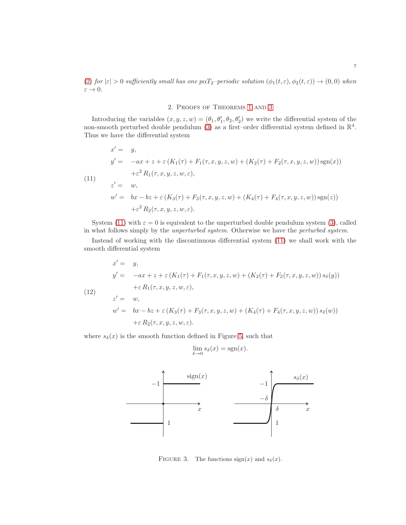<span id="page-6-0"></span>[\(2\)](#page-0-1) for  $|\varepsilon| > 0$  sufficiently small has one pa $T_2$ -periodic solution  $(\phi_1(t,\varepsilon), \phi_2(t,\varepsilon)) \to (0,0)$  when  $\varepsilon \to 0$ .

# 2. Proofs of Theorems [1](#page-4-1) and [3](#page-5-1)

Introducing the variables  $(x, y, z, w) = (\theta_1, \theta_1', \theta_2, \theta_2')$  we write the differential system of the non-smooth perturbed double pendulum [\(3\)](#page-2-0) as a first-order differential system defined in  $\mathbb{R}^4$ . Thus we have the differential system

<span id="page-6-1"></span>(11)  
\n
$$
x' = y,
$$
\n
$$
y' = -ax + z + \varepsilon (K_1(\tau) + F_1(\tau, x, y, z, w) + (K_2(\tau) + F_2(\tau, x, y, z, w)) \operatorname{sgn}(x))
$$
\n
$$
+ \varepsilon^2 R_1(\tau, x, y, z, w, \varepsilon),
$$
\n
$$
z' = w,
$$
\n
$$
w' = bx - bz + \varepsilon (K_3(\tau) + F_3(\tau, x, y, z, w) + (K_4(\tau) + F_4(\tau, x, y, z, w)) \operatorname{sgn}(z))
$$
\n
$$
+ \varepsilon^2 R_2(\tau, x, y, z, w, \varepsilon).
$$

System [\(11\)](#page-6-1) with  $\varepsilon = 0$  is equivalent to the unperturbed double pendulum system [\(3\)](#page-2-0), called in what follows simply by the unperturbed system. Otherwise we have the perturbed system.

Instead of working with the discontinuous differential system [\(11\)](#page-6-1) we shall work with the smooth differential system

<span id="page-6-2"></span>(12)  
\n
$$
x' = y,
$$
\n
$$
y' = -ax + z + \varepsilon (K_1(\tau) + F_1(\tau, x, y, z, w) + (K_2(\tau) + F_2(\tau, x, y, z, w)) s_{\delta}(y))
$$
\n
$$
+ \varepsilon R_1(\tau, x, y, z, w, \varepsilon),
$$
\n
$$
z' = w,
$$
\n
$$
w' = bx - bz + \varepsilon (K_3(\tau) + F_3(\tau, x, y, z, w) + (K_4(\tau) + F_4(\tau, x, y, z, w)) s_{\delta}(w))
$$
\n
$$
+ \varepsilon R_2(\tau, x, y, z, w, \varepsilon).
$$

where  $s_{\delta}(x)$  is the smooth function defined in Figure [5,](#page-14-0) such that

$$
\lim_{\delta \to 0} s_{\delta}(x) = \text{sgn}(x).
$$



FIGURE 3. The functions  $sign(x)$  and  $s_\delta(x)$ .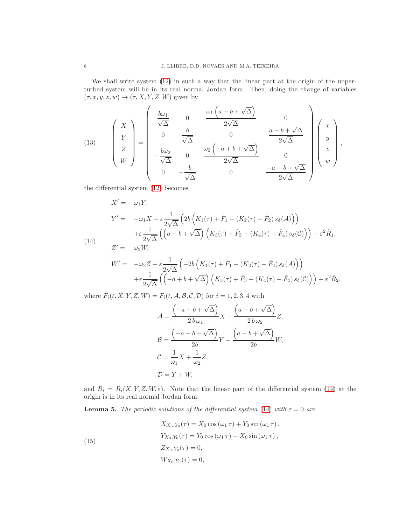We shall write system  $(12)$  in such a way that the linear part at the origin of the unperturbed system will be in its real normal Jordan form. Then, doing the change of variables  $(\tau, x, y, z, w) \rightarrow (\tau, X, Y, Z, W)$  given by

<span id="page-7-2"></span>(13) 
$$
\begin{pmatrix} X \\ Y \\ Z \\ W \end{pmatrix} = \begin{pmatrix} \frac{b\omega_1}{\sqrt{\Delta}} & 0 & \frac{\omega_1\left(a-b+\sqrt{\Delta}\right)}{2\sqrt{\Delta}} & 0 \\ 0 & \frac{b}{\sqrt{\Delta}} & 0 & \frac{a-b+\sqrt{\Delta}}{2\sqrt{\Delta}} \\ -\frac{b\omega_2}{\sqrt{\Delta}} & 0 & \frac{\omega_2\left(-a+b+\sqrt{\Delta}\right)}{2\sqrt{\Delta}} & 0 \\ 0 & -\frac{b}{\sqrt{\Delta}} & 0 & \frac{-a+b+\sqrt{\Delta}}{2\sqrt{\Delta}} \end{pmatrix} \begin{pmatrix} x \\ y \\ z \\ w \end{pmatrix},
$$

the differential system [\(12\)](#page-6-2) becomes

$$
X' = \omega_1 Y,
$$
  
\n
$$
Y' = -\omega_1 X + \varepsilon \frac{1}{2\sqrt{\Delta}} \left( 2b \left( K_1(\tau) + \tilde{F}_1 + (K_2(\tau) + \tilde{F}_2) s_\delta(\mathcal{A}) \right) \right)
$$
  
\n
$$
+ \varepsilon \frac{1}{2\sqrt{\Delta}} \left( \left( a - b + \sqrt{\Delta} \right) \left( K_3(\tau) + \tilde{F}_3 + (K_4(\tau) + \tilde{F}_4) s_\delta(\mathcal{C}) \right) \right) + \varepsilon^2 \tilde{R}_1,
$$
  
\n
$$
Z' = \omega_2 W,
$$

<span id="page-7-0"></span>
$$
W' = -\omega_2 Z + \varepsilon \frac{1}{2\sqrt{\Delta}} \left( -2b \left( K_1(\tau) + \tilde{F}_1 + (K_2(\tau) + \tilde{F}_2) s_\delta(\mathcal{A}) \right) \right) + \varepsilon \frac{1}{2\sqrt{\Delta}} \left( \left( -a + b + \sqrt{\Delta} \right) \left( K_3(\tau) + \tilde{F}_3 + (K_4(\tau) + \tilde{F}_4) s_\delta(\mathcal{C}) \right) \right) + \varepsilon^2 \tilde{R}_2,
$$

where  $\tilde{F}_i(t, X, Y, Z, W) = F_i(t, \mathcal{A}, \mathcal{B}, \mathcal{C}, \mathcal{D})$  for  $i = 1, 2, 3, 4$  with

$$
\mathcal{A} = \frac{\left(-a+b+\sqrt{\Delta}\right)}{2\,b\,\omega_1}X - \frac{\left(a-b+\sqrt{\Delta}\right)}{2\,b\,\omega_2}Z,
$$
\n
$$
\mathcal{B} = \frac{\left(-a+b+\sqrt{\Delta}\right)}{2b}Y - \frac{\left(a-b+\sqrt{\Delta}\right)}{2b}W,
$$
\n
$$
\mathcal{C} = \frac{1}{\omega_1}X + \frac{1}{\omega_2}Z,
$$
\n
$$
\mathcal{D} = Y + W,
$$

and  $\tilde{R}_i = \tilde{R}_i(X, Y, Z, W, \varepsilon)$ . Note that the linear part of the differential system [\(14\)](#page-7-0) at the origin is in its real normal Jordan form.

<span id="page-7-3"></span>**Lemma 5.** The periodic solutions of the differential system [\(14\)](#page-7-0) with  $\varepsilon = 0$  are

<span id="page-7-1"></span>(15)  
\n
$$
X_{X_0, Y_0}(\tau) = X_0 \cos (\omega_1 \tau) + Y_0 \sin (\omega_1 \tau),
$$
\n
$$
Y_{X_0, Y_0}(\tau) = Y_0 \cos (\omega_1 \tau) - X_0 \sin (\omega_1 \tau),
$$
\n
$$
Z_{X_0, Y_0}(\tau) = 0,
$$
\n
$$
W_{X_0, Y_0}(\tau) = 0,
$$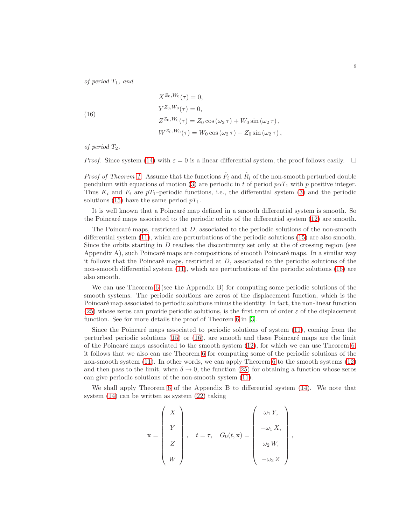of period  $T_1$ , and

<span id="page-8-0"></span>(16)  
\n
$$
X^{Z_0, W_0}(\tau) = 0,
$$
\n
$$
Y^{Z_0, W_0}(\tau) = 0,
$$
\n
$$
Z^{Z_0, W_0}(\tau) = Z_0 \cos(\omega_2 \tau) + W_0 \sin(\omega_2 \tau),
$$
\n
$$
W^{Z_0, W_0}(\tau) = W_0 \cos(\omega_2 \tau) - Z_0 \sin(\omega_2 \tau),
$$

of period  $T_2$ .

*Proof.* Since system [\(14\)](#page-7-0) with  $\varepsilon = 0$  is a linear differential system, the proof follows easily.  $\square$ 

*Proof of Theorem [1.](#page-4-1)* Assume that the functions  $\hat{F}_i$  and  $\hat{R}_i$  of the non-smooth perturbed double pendulum with equations of motion [\(3\)](#page-2-0) are periodic in t of period  $p\alpha T_1$  with p positive integer. Thus  $K_i$  and  $F_i$  are  $pT_1$ –periodic functions, i.e., the differential system [\(3\)](#page-2-0) and the periodic solutions [\(15\)](#page-7-1) have the same period  $pT_1$ .

It is well known that a Poincaré map defined in a smooth differential system is smooth. So the Poincaré maps associated to the periodic orbits of the differential system [\(12\)](#page-6-2) are smooth.

The Poincaré maps, restricted at  $D$ , associated to the periodic solutions of the non-smooth differential system [\(11\)](#page-6-1), which are perturbations of the periodic solutions [\(15\)](#page-7-1) are also smooth. Since the orbits starting in D reaches the discontinuity set only at the of crossing region (see Appendix A), such Poincaré maps are compositions of smooth Poincaré maps. In a similar way it follows that the Poincaré maps, restricted at  $D$ , associated to the periodic solutions of the non-smooth differential system [\(11\)](#page-6-1), which are perturbations of the periodic solutions [\(16\)](#page-8-0) are also smooth.

We can use Theorem [6](#page-15-0) (see the Appendix B) for computing some periodic solutions of the smooth systems. The periodic solutions are zeros of the displacement function, which is the Poincaré map associated to periodic solutions minus the identity. In fact, the non-linear function [\(25\)](#page-16-4) whose zeros can provide periodic solutions, is the first term of order  $\varepsilon$  of the displacement function. See for more details the proof of Theorem [6](#page-15-0) in [\[3\]](#page-16-5).

Since the Poincaré maps associated to periodic solutions of system  $(11)$ , coming from the perturbed periodic solutions  $(15)$  or  $(16)$ , are smooth and these Poincaré maps are the limit of the Poincaré maps associated to the smooth system  $(12)$ , for which we can use Theorem [6,](#page-15-0) it follows that we also can use Theorem [6](#page-15-0) for computing some of the periodic solutions of the non-smooth system [\(11\)](#page-6-1). In other words, we can apply Theorem [6](#page-15-0) to the smooth systems [\(12\)](#page-6-2) and then pass to the limit, when  $\delta \to 0$ , the function [\(25\)](#page-16-4) for obtaining a function whose zeros can give periodic solutions of the non-smooth system [\(11\)](#page-6-1).

We shall apply Theorem [6](#page-15-0) of the Appendix B to differential system [\(14\)](#page-7-0). We note that system [\(14\)](#page-7-0) can be written as system [\(22\)](#page-15-1) taking

$$
\mathbf{x} = \begin{pmatrix} X \\ Y \\ Z \\ W \end{pmatrix}, \quad t = \tau, \quad G_0(t, \mathbf{x}) = \begin{pmatrix} \omega_1 Y, \\ -\omega_1 X, \\ \omega_2 W, \\ -\omega_2 Z \end{pmatrix},
$$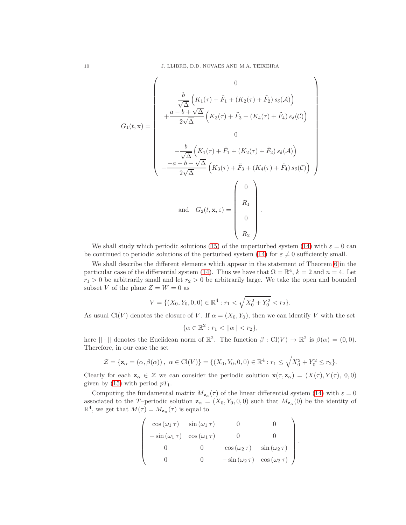$$
G_{1}(t, \mathbf{x}) = \begin{pmatrix} 0 \\ \frac{b}{\sqrt{\Delta}} \left( K_{1}(\tau) + \tilde{F}_{1} + (K_{2}(\tau) + \tilde{F}_{2}) s_{\delta}(\mathcal{A}) \right) \\ + \frac{a - b + \sqrt{\Delta}}{2\sqrt{\Delta}} \left( K_{3}(\tau) + \tilde{F}_{3} + (K_{4}(\tau) + \tilde{F}_{4}) s_{\delta}(\mathcal{C}) \right) \\ 0 \\ - \frac{b}{\sqrt{\Delta}} \left( K_{1}(\tau) + \tilde{F}_{1} + (K_{2}(\tau) + \tilde{F}_{2}) s_{\delta}(\mathcal{A}) \right) \\ + \frac{-a + b + \sqrt{\Delta}}{2\sqrt{\Delta}} \left( K_{3}(\tau) + \tilde{F}_{3} + (K_{4}(\tau) + \tilde{F}_{4}) s_{\delta}(\mathcal{C}) \right) \end{pmatrix}
$$
  
and  $G_{2}(t, \mathbf{x}, \varepsilon) = \begin{pmatrix} 0 \\ R_{1} \\ 0 \\ R_{2} \end{pmatrix}$ .

We shall study which periodic solutions [\(15\)](#page-7-1) of the unperturbed system [\(14\)](#page-7-0) with  $\varepsilon = 0$  can be continued to periodic solutions of the perturbed system [\(14\)](#page-7-0) for  $\varepsilon \neq 0$  sufficiently small.

We shall describe the different elements which appear in the statement of Theorem [6](#page-15-0) in the particular case of the differential system [\(14\)](#page-7-0). Thus we have that  $\Omega = \mathbb{R}^4$ ,  $k = 2$  and  $n = 4$ . Let  $r_1 > 0$  be arbitrarily small and let  $r_2 > 0$  be arbitrarily large. We take the open and bounded subset V of the plane  $Z = W = 0$  as

$$
V = \{(X_0, Y_0, 0, 0) \in \mathbb{R}^4 : r_1 < \sqrt{X_0^2 + Y_0^2} < r_2\}.
$$

As usual Cl(V) denotes the closure of V. If  $\alpha = (X_0, Y_0)$ , then we can identify V with the set

$$
\{\alpha \in \mathbb{R}^2 : r_1 < ||\alpha|| < r_2\},\
$$

here  $|| \cdot ||$  denotes the Euclidean norm of  $\mathbb{R}^2$ . The function  $\beta : Cl(V) \to \mathbb{R}^2$  is  $\beta(\alpha) = (0,0)$ . Therefore, in our case the set

$$
\mathcal{Z} = \{ \mathbf{z}_{\alpha} = (\alpha, \beta(\alpha)), \ \alpha \in \mathrm{Cl}(V) \} = \{ (X_0, Y_0, 0, 0) \in \mathbb{R}^4 : r_1 \le \sqrt{X_0^2 + Y_0^2} \le r_2 \}.
$$

Clearly for each  $z_\alpha \in \mathcal{Z}$  we can consider the periodic solution  $\mathbf{x}(\tau, z_\alpha) = (X(\tau), Y(\tau), 0, 0)$ given by [\(15\)](#page-7-1) with period  $pT_1$ .

Computing the fundamental matrix  $M_{\mathbf{z}_{\alpha}}(\tau)$  of the linear differential system [\(14\)](#page-7-0) with  $\varepsilon = 0$ associated to the T-periodic solution  $z_{\alpha} = (X_0, Y_0, 0, 0)$  such that  $M_{z_{\alpha}}(0)$  be the identity of  $\mathbb{R}^4$ , we get that  $M(\tau) = M_{\mathbf{z}_{\alpha}}(\tau)$  is equal to

$$
\begin{pmatrix}\n\cos(\omega_1 \tau) & \sin(\omega_1 \tau) & 0 & 0 \\
-\sin(\omega_1 \tau) & \cos(\omega_1 \tau) & 0 & 0 \\
0 & 0 & \cos(\omega_2 \tau) & \sin(\omega_2 \tau) \\
0 & 0 & -\sin(\omega_2 \tau) & \cos(\omega_2 \tau)\n\end{pmatrix}
$$

.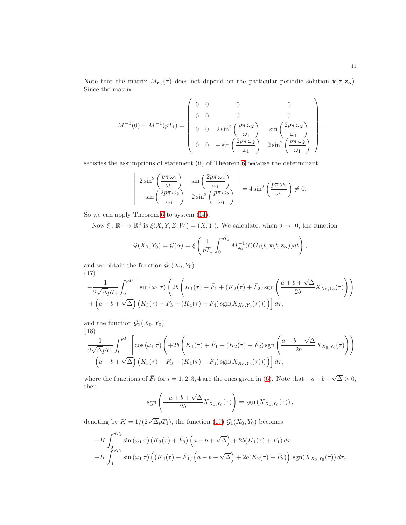Note that the matrix  $M_{\mathbf{z}_{\alpha}}(\tau)$  does not depend on the particular periodic solution  $\mathbf{x}(\tau,\mathbf{z}_{\alpha})$ . Since the matrix

$$
M^{-1}(0) - M^{-1}(pT_1) = \begin{pmatrix} 0 & 0 & 0 & 0 \\ 0 & 0 & 0 & 0 \\ 0 & 0 & 2\sin^2\left(\frac{p\pi\,\omega_2}{\omega_1}\right) & \sin\left(\frac{2p\pi\,\omega_2}{\omega_1}\right) \\ 0 & 0 & -\sin\left(\frac{2p\pi\,\omega_2}{\omega_1}\right) & 2\sin^2\left(\frac{p\pi\,\omega_2}{\omega_1}\right) \end{pmatrix},
$$

satisfies the assumptions of statement (ii) of Theorem [6](#page-15-0) because the determinant

$$
\begin{vmatrix} 2\sin^2\left(\frac{p\pi\,\omega_2}{\omega_1}\right) & \sin\left(\frac{2p\pi\,\omega_2}{\omega_1}\right) \\ -\sin\left(\frac{2p\pi\,\omega_2}{\omega_1}\right) & 2\sin^2\left(\frac{p\pi\,\omega_2}{\omega_1}\right) \end{vmatrix} = 4\sin^2\left(\frac{p\pi\,\omega_2}{\omega_1}\right) \neq 0.
$$

So we can apply Theorem [6](#page-15-0) to system [\(14\)](#page-7-0).

Now  $\xi : \mathbb{R}^4 \to \mathbb{R}^2$  is  $\xi(X, Y, Z, W) = (X, Y)$ . We calculate, when  $\delta \to 0$ , the function

$$
\mathcal{G}(X_0,Y_0)=\mathcal{G}(\alpha)=\xi\left(\frac{1}{pT_1}\int_0^{pT_1}M_{\mathbf{z}_\alpha}^{-1}(t)G_1(t,\mathbf{x}(t,\mathbf{z}_\alpha))dt\right),\,
$$

and we obtain the function  $\mathcal{G}_2(X_0, Y_0)$ (17)

<span id="page-10-0"></span>
$$
-\frac{1}{2\sqrt{\Delta}pT_1} \int_0^{pT_1} \left[ \sin(\omega_1 \tau) \left( 2b \left( K_1(\tau) + \bar{F}_1 + (K_2(\tau) + \bar{F}_2) \operatorname{sgn} \left( \frac{a+b+\sqrt{\Delta}}{2b} X_{X_0, Y_0(\tau)} \right) \right) + \left( a - b + \sqrt{\Delta} \right) \left( K_3(\tau) + \bar{F}_3 + (K_4(\tau) + \bar{F}_4) \operatorname{sgn}(X_{X_0, Y_0(\tau)}) \right) \right) d\tau,
$$

and the function  $\mathcal{G}_2(X_0, Y_0)$ 

<span id="page-10-1"></span>(18)  
\n
$$
\frac{1}{2\sqrt{\Delta}pT_1} \int_0^{pT_1} \left[ \cos(\omega_1 \tau) \left( +2b \left( K_1(\tau) + \bar{F}_1 + (K_2(\tau) + \bar{F}_2) \operatorname{sgn} \left( \frac{a+b+\sqrt{\Delta}}{2b} X_{X_0, Y_0}(\tau) \right) \right) + \left( a - b + \sqrt{\Delta} \right) \left( K_3(\tau) + \bar{F}_3 + (K_4(\tau) + \bar{F}_4) \operatorname{sgn}(X_{X_0, Y_0}(\tau)) \right) \right) \right] d\tau,
$$

where the functions of  $\bar{F}_i$  for  $i = 1, 2, 3, 4$  are the ones given in [\(6\)](#page-3-2). Note that  $-a+b+\sqrt{\Delta} > 0$ , then

$$
\operatorname{sgn}\left(\frac{-a+b+\sqrt{\Delta}}{2b}X_{X_0,Y_0}(\tau)\right)=\operatorname{sgn}\left(X_{X_0,Y_0}(\tau)\right),
$$

denoting by  $K = 1/(2\sqrt{\Delta pT_1})$ , the function [\(17\)](#page-10-0)  $\mathcal{G}_1(X_0, Y_0)$  becomes

$$
-K \int_0^{pT_1} \sin(\omega_1 \tau) (K_3(\tau) + \bar{F}_3) \left( a - b + \sqrt{\Delta} \right) + 2b(K_1(\tau) + \bar{F}_1) d\tau -K \int_0^{pT_1} \sin(\omega_1 \tau) \left( (K_4(\tau) + \bar{F}_4) \left( a - b + \sqrt{\Delta} \right) + 2b(K_2(\tau) + \bar{F}_2) \right) \text{sgn}(X_{X_0, Y_0}(\tau)) d\tau,
$$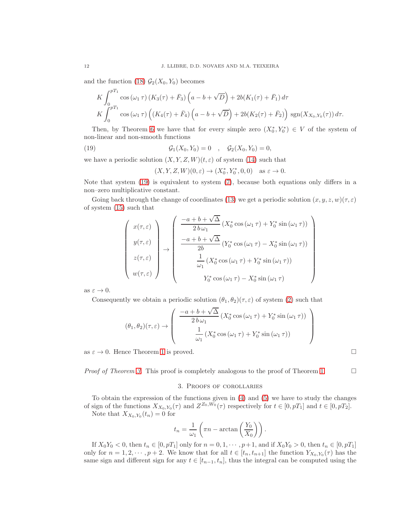and the function [\(18\)](#page-10-1)  $\mathcal{G}_2(X_0, Y_0)$  becomes

$$
K \int_0^{pT_1} \cos(\omega_1 \tau) (K_3(\tau) + \bar{F}_3) \left( a - b + \sqrt{D} \right) + 2b(K_1(\tau) + \bar{F}_1) d\tau
$$
  
\n
$$
K \int_0^{pT_1} \cos(\omega_1 \tau) \left( (K_4(\tau) + \bar{F}_4) \left( a - b + \sqrt{D} \right) + 2b(K_2(\tau) + \bar{F}_2) \right) \text{sgn}(X_{X_0, Y_0}(\tau)) d\tau.
$$

Then, by Theorem [6](#page-15-0) we have that for every simple zero  $(X_0^*, Y_0^*) \in V$  of the system of non-linear and non-smooth functions

(19) 
$$
\mathcal{G}_1(X_0, Y_0) = 0 \quad , \quad \mathcal{G}_2(X_0, Y_0) = 0,
$$

we have a periodic solution  $(X, Y, Z, W)(t, \varepsilon)$  of system [\(14\)](#page-7-0) such that

<span id="page-11-1"></span>
$$
(X,Y,Z,W)(0,\varepsilon)\to (X_0^*,Y_0^*,0,0) \quad \text{as }\varepsilon\to 0.
$$

Note that system [\(19\)](#page-11-1) is equivalent to system [\(7\)](#page-4-0), because both equations only differs in a non–zero multiplicative constant.

Going back through the change of coordinates [\(13\)](#page-7-2) we get a periodic solution  $(x, y, z, w)(\tau, \varepsilon)$ of system [\(15\)](#page-7-1) such that

$$
\begin{pmatrix}\nx(\tau,\varepsilon) \\
y(\tau,\varepsilon) \\
z(\tau,\varepsilon) \\
w(\tau,\varepsilon)\n\end{pmatrix}\n\rightarrow\n\begin{pmatrix}\n\frac{-a+b+\sqrt{\Delta}}{2b\omega_1} \left(X_0^* \cos\left(\omega_1 \tau\right) + Y_0^* \sin\left(\omega_1 \tau\right)\right) \\
\frac{-a+b+\sqrt{\Delta}}{2b} \left(Y_0^* \cos\left(\omega_1 \tau\right) - X_0^* \sin\left(\omega_1 \tau\right)\right) \\
\frac{1}{\omega_1} \left(X_0^* \cos\left(\omega_1 \tau\right) + Y_0^* \sin\left(\omega_1 \tau\right)\right) \\
Y_0^* \cos\left(\omega_1 \tau\right) - X_0^* \sin\left(\omega_1 \tau\right)\n\end{pmatrix}
$$

as  $\varepsilon \to 0$ .

Consequently we obtain a periodic solution  $(\theta_1, \theta_2)(\tau, \varepsilon)$  of system [\(2\)](#page-0-1) such that

$$
(\theta_1, \theta_2)(\tau, \varepsilon) \rightarrow \begin{pmatrix} \frac{-a+b+\sqrt{\Delta}}{2 b \omega_1} (X_0^* \cos(\omega_1 \tau) + Y_0^* \sin(\omega_1 \tau)) \\ \frac{1}{\omega_1} (X_0^* \cos(\omega_1 \tau) + Y_0^* \sin(\omega_1 \tau)) \end{pmatrix}
$$

as  $\varepsilon \to 0$ . Hence Theorem [1](#page-4-1) is proved.

<span id="page-11-0"></span>*Proof of Theorem [3.](#page-5-1)* This proof is completely analogous to the proof of Theorem [1.](#page-4-1)  $\Box$ 

## 3. Proofs of corollaries

To obtain the expression of the functions given in [\(4\)](#page-3-3) and [\(5\)](#page-3-4) we have to study the changes of sign of the functions  $X_{X_0,Y_0}(\tau)$  and  $Z^{Z_0,W_0}(\tau)$  respectively for  $t \in [0, pT_1]$  and  $t \in [0, pT_2]$ .

Note that  $X_{X_0,Y_0}(t_n)=0$  for

$$
t_n = \frac{1}{\omega_1} \left( \pi n - \arctan\left(\frac{Y_0}{X_0}\right) \right).
$$

If  $X_0Y_0 < 0$ , then  $t_n \in [0, pT_1]$  only for  $n = 0, 1, \dots, p+1$ , and if  $X_0Y_0 > 0$ , then  $t_n \in [0, pT_1]$ only for  $n = 1, 2, \dots, p+2$ . We know that for all  $t \in [t_n, t_{n+1}]$  the function  $Y_{X_0, Y_0}(\tau)$  has the same sign and different sign for any  $t \in [t_{n-1}, t_n]$ , thus the integral can be computed using the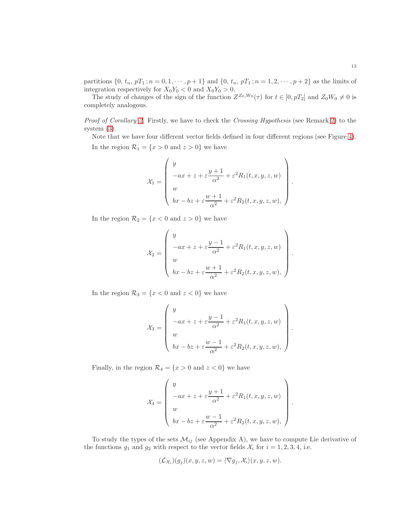partitions  $\{0, t_n, pT_1; n = 0, 1, \dots, p+1\}$  and  $\{0, t_n, pT_1; n = 1, 2, \dots, p+2\}$  as the limits of integration respectively for  $X_0Y_0 < 0$  and  $X_0Y_0 > 0$ .

The study of changes of the sign of the function  $Z^{Z_0,W_0}(\tau)$  for  $t \in [0, pT_2]$  and  $Z_0W_0 \neq 0$  is completely analogous.

Proof of Corollary [2.](#page-4-2) Firstly, we have to check the Crossing Hypothesis (see Remark [2\)](#page-3-1) to the system [\(3\)](#page-2-0).

Note that we have four different vector fields defined in four different regions (see Figure [4\)](#page-13-0). In the region  $\mathcal{R}_1 = \{x > 0 \text{ and } z > 0\}$  we have

$$
\mathcal{X}_1 = \left(\begin{array}{c} y \\ -ax + z + \varepsilon \dfrac{y+1}{\alpha^2} + \varepsilon^2 R_1(t,x,y,z,w) \\ w \\ bx - bz + \varepsilon \dfrac{w+1}{\alpha^2} + \varepsilon^2 R_2(t,x,y,z,w), \end{array}\right)
$$

.

.

In the region  $\mathcal{R}_2 = \{x < 0 \text{ and } z > 0\}$  we have

$$
\mathcal{X}_2 = \begin{pmatrix} y \\ -ax + z + \varepsilon \frac{y-1}{\alpha^2} + \varepsilon^2 R_1(t, x, y, z, w) \\ w \\ bx - bz + \varepsilon \frac{w+1}{\alpha^2} + \varepsilon^2 R_2(t, x, y, z, w), \end{pmatrix}.
$$

In the region  $\mathcal{R}_3 = \{x < 0 \text{ and } z < 0\}$  we have

$$
\mathcal{X}_3 = \begin{pmatrix} y \\ -ax + z + \varepsilon \frac{y-1}{\alpha^2} + \varepsilon^2 R_1(t, x, y, z, w) \\ w \\ bx - bz + \varepsilon \frac{w-1}{\alpha^2} + \varepsilon^2 R_2(t, x, y, z, w), \end{pmatrix}
$$

Finally, in the region  $\mathcal{R}_4 = \{x > 0 \text{ and } z < 0\}$  we have

$$
\mathcal{X}_4 = \begin{pmatrix} y \\ -ax + z + \varepsilon \frac{y+1}{\alpha^2} + \varepsilon^2 R_1(t, x, y, z, w) \\ w \\ bx - bz + \varepsilon \frac{w-1}{\alpha^2} + \varepsilon^2 R_2(t, x, y, z, w), \end{pmatrix}.
$$

To study the types of the sets  $\mathcal{M}_{ij}$  (see Appendix A), we have to compute Lie derivative of the functions  $g_1$  and  $g_2$  with respect to the vector fields  $\mathcal{X}_i$  for  $i = 1, 2, 3, 4$ , i.e.

$$
(\mathcal{L}_{\mathcal{X}_i})(g_j)(x, y, z, w) = \langle \nabla g_j, \mathcal{X}_i \rangle (x, y, z, w).
$$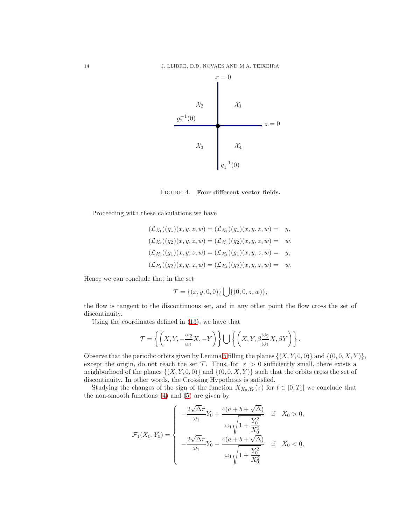

<span id="page-13-0"></span>FIGURE 4. Four different vector fields.

Proceeding with these calculations we have

$$
(\mathcal{L}_{\mathcal{X}_1})(g_1)(x, y, z, w) = (\mathcal{L}_{\mathcal{X}_2})(g_1)(x, y, z, w) = y,
$$
  
\n
$$
(\mathcal{L}_{\mathcal{X}_2})(g_2)(x, y, z, w) = (\mathcal{L}_{\mathcal{X}_3})(g_2)(x, y, z, w) = w,
$$
  
\n
$$
(\mathcal{L}_{\mathcal{X}_3})(g_1)(x, y, z, w) = (\mathcal{L}_{\mathcal{X}_4})(g_1)(x, y, z, w) = y,
$$
  
\n
$$
(\mathcal{L}_{\mathcal{X}_1})(g_2)(x, y, z, w) = (\mathcal{L}_{\mathcal{X}_4})(g_2)(x, y, z, w) = w.
$$

Hence we can conclude that in the set

$$
\mathcal{T} = \{(x, y, 0, 0)\} \bigcup \{(0, 0, z, w)\},\
$$

the flow is tangent to the discontinuous set, and in any other point the flow cross the set of discontinuity.

Using the coordinates defined in [\(13\)](#page-7-2), we have that

$$
\mathcal{T} = \left\{ \left( X, Y, -\frac{\omega_2}{\omega_1} X, -Y \right) \right\} \bigcup \left\{ \left( X, Y, \beta \frac{\omega_2}{\omega_1} X, \beta Y \right) \right\}.
$$

Observe that the periodic orbits given by Lemma [5](#page-7-3) filling the planes  $\{(X, Y, 0, 0)\}\$ and  $\{(0, 0, X, Y)\}\$ except the origin, do not reach the set T. Thus, for  $|\varepsilon| > 0$  sufficiently small, there exists a neighborhood of the planes  $\{(X, Y, 0, 0)\}\$  and  $\{(0, 0, X, Y)\}\$  such that the orbits cross the set of discontinuity. In other words, the Crossing Hypothesis is satisfied.

Studying the changes of the sign of the function  $X_{X_0,Y_0}(\tau)$  for  $t \in [0,T_1]$  we conclude that the non-smooth functions [\(4\)](#page-3-3) and [\(5\)](#page-3-4) are given by

$$
\mathcal{F}_1(X_0, Y_0) = \begin{cases}\n-\frac{2\sqrt{\Delta}\pi}{\omega_1}Y_0 + \frac{4(a+b+\sqrt{\Delta})}{\omega_1\sqrt{1 + \frac{Y_0^2}{X_0^2}}} & \text{if } X_0 > 0, \\
-\frac{2\sqrt{\Delta}\pi}{\omega_1}Y_0 - \frac{4(a+b+\sqrt{\Delta})}{\omega_1\sqrt{1 + \frac{Y_0^2}{X_0^2}}} & \text{if } X_0 < 0,\n\end{cases}
$$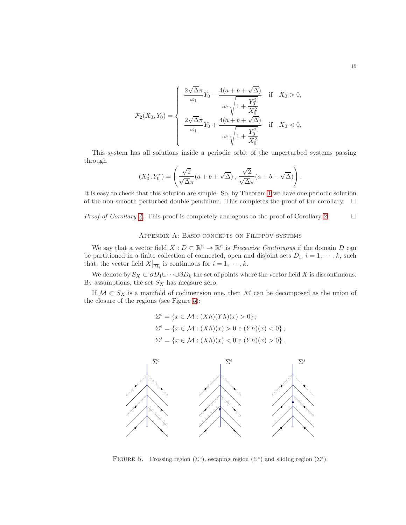$$
\mathcal{F}_2(X_0, Y_0) = \begin{cases}\n\frac{2\sqrt{\Delta}\pi}{\omega_1} Y_0 - \frac{4(a + b + \sqrt{\Delta})}{\omega_1 \sqrt{1 + \frac{Y_0^2}{X_0^2}}} & \text{if } X_0 > 0, \\
\frac{2\sqrt{\Delta}\pi}{\omega_1} Y_0 + \frac{4(a + b + \sqrt{\Delta})}{\omega_1 \sqrt{1 + \frac{Y_0^2}{X_0^2}}} & \text{if } X_0 < 0,\n\end{cases}
$$

This system has all solutions inside a periodic orbit of the unperturbed systems passing through

$$
(X_0^*, Y_0^*) = \left(\frac{\sqrt{2}}{\sqrt{\Delta}\pi}(a+b+\sqrt{\Delta}), \frac{\sqrt{2}}{\sqrt{\Delta}\pi}(a+b+\sqrt{\Delta})\right).
$$

It is easy to check that this solution are simple. So, by Theorem [1](#page-4-1) we have one periodic solution of the non-smooth perturbed double pendulum. This completes the proof of the corollary.  $\Box$ 

*Proof of Corollary [4.](#page-5-2)* This proof is completely analogous to the proof of Corollary [2.](#page-4-2)  $\Box$ 

# Appendix A: Basic concepts on Filippov systems

We say that a vector field  $X: D \subset \mathbb{R}^n \to \mathbb{R}^n$  is *Piecewise Continuous* if the domain D can be partitioned in a finite collection of connected, open and disjoint sets  $D_i$ ,  $i = 1, \dots, k$ , such that, the vector field  $X|_{\overline{D}_i}$  is continuous for  $i = 1, \dots, k$ .

We denote by  $S_X \subset \partial D_1 \cup \cdots \cup \partial D_k$  the set of points where the vector field X is discontinuous. By assumptions, the set  $S_X$  has measure zero.

If  $M \subset S_X$  is a manifold of codimension one, then M can be decomposed as the union of the closure of the regions (see Figure [5\)](#page-14-0):

$$
\Sigma^{c} = \{x \in \mathcal{M} : (Xh)(Yh)(x) > 0\};
$$
  
\n
$$
\Sigma^{e} = \{x \in \mathcal{M} : (Xh)(x) > 0 \in (Yh)(x) < 0\};
$$
  
\n
$$
\Sigma^{s} = \{x \in \mathcal{M} : (Xh)(x) < 0 \in (Yh)(x) > 0\}.
$$



<span id="page-14-0"></span>FIGURE 5. Crossing region ( $\Sigma^c$ ), escaping region ( $\Sigma^e$ ) and sliding region ( $\Sigma^s$ ).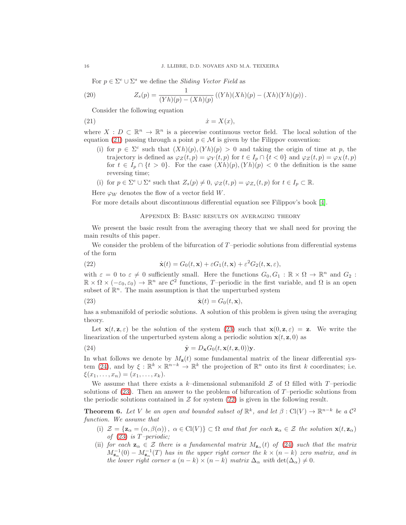For  $p \in \Sigma^e \cup \Sigma^s$  we define the *Sliding Vector Field* as

(20) 
$$
Z_s(p) = \frac{1}{(Yh)(p) - (Xh)(p)} ((Yh)(Xh)(p) - (Xh)(Yh)(p)).
$$

Consider the following equation

$$
(21) \t\t\t \dot{x} = X(x),
$$

where  $X: D \subset \mathbb{R}^n \to \mathbb{R}^n$  is a piecewise continuous vector field. The local solution of the equation [\(21\)](#page-15-2) passing through a point  $p \in \mathcal{M}$  is given by the Filippov convention:

- <span id="page-15-2"></span>(i) for  $p \in \Sigma^c$  such that  $(Xh)(p), (Yh)(p) > 0$  and taking the origin of time at p, the trajectory is defined as  $\varphi_Z(t,p) = \varphi_Y(t,p)$  for  $t \in I_p \cap \{t < 0\}$  and  $\varphi_Z(t,p) = \varphi_X(t,p)$ for  $t \in I_p \cap \{t > 0\}$ . For the case  $(Xh)(p), (Yh)(p) < 0$  the definition is the same reversing time;
- (i) for  $p \in \Sigma^e \cup \Sigma^s$  such that  $Z_s(p) \neq 0$ ,  $\varphi_Z(t,p) = \varphi_{Z_s}(t,p)$  for  $t \in I_p \subset \mathbb{R}$ .

Here  $\varphi_W$  denotes the flow of a vector field W.

For more details about discontinuous differential equation see Filippov's book [\[4\]](#page-16-6).

### <span id="page-15-3"></span><span id="page-15-1"></span>Appendix B: Basic results on averaging theory

We present the basic result from the averaging theory that we shall need for proving the main results of this paper.

We consider the problem of the bifurcation of  $T$ -periodic solutions from differential systems of the form

(22) 
$$
\dot{\mathbf{x}}(t) = G_0(t, \mathbf{x}) + \varepsilon G_1(t, \mathbf{x}) + \varepsilon^2 G_2(t, \mathbf{x}, \varepsilon),
$$

with  $\varepsilon = 0$  to  $\varepsilon \neq 0$  sufficiently small. Here the functions  $G_0, G_1 : \mathbb{R} \times \Omega \to \mathbb{R}^n$  and  $G_2$ :  $\mathbb{R} \times \Omega \times (-\varepsilon_0, \varepsilon_0) \to \mathbb{R}^n$  are  $\mathcal{C}^2$  functions, T-periodic in the first variable, and  $\Omega$  is an open subset of  $\mathbb{R}^n$ . The main assumption is that the unperturbed system

(23) 
$$
\dot{\mathbf{x}}(t) = G_0(t, \mathbf{x}),
$$

has a submanifold of periodic solutions. A solution of this problem is given using the averaging theory.

Let  $\mathbf{x}(t, \mathbf{z}, \varepsilon)$  be the solution of the system [\(23\)](#page-15-3) such that  $\mathbf{x}(0, \mathbf{z}, \varepsilon) = \mathbf{z}$ . We write the linearization of the unperturbed system along a periodic solution  $x(t, z, 0)$  as

<span id="page-15-4"></span>(24) 
$$
\dot{\mathbf{y}} = D_{\mathbf{x}} G_0(t, \mathbf{x}(t, \mathbf{z}, 0)) \mathbf{y}.
$$

In what follows we denote by  $M_{\mathbf{z}}(t)$  some fundamental matrix of the linear differential sys-tem [\(24\)](#page-15-4), and by  $\xi : \mathbb{R}^k \times \mathbb{R}^{n-k} \to \mathbb{R}^k$  the projection of  $\mathbb{R}^n$  onto its first k coordinates; i.e.  $\xi(x_1, \ldots, x_n) = (x_1, \ldots, x_k).$ 

We assume that there exists a k–dimensional submanifold  $\mathcal Z$  of  $\Omega$  filled with T-periodic solutions of  $(23)$ . Then an answer to the problem of bifurcation of T-periodic solutions from the periodic solutions contained in  $\mathcal Z$  for system [\(22\)](#page-15-1) is given in the following result.

<span id="page-15-0"></span>**Theorem 6.** Let V be an open and bounded subset of  $\mathbb{R}^k$ , and let  $\beta$  : Cl(V)  $\rightarrow \mathbb{R}^{n-k}$  be a  $\mathcal{C}^2$ function. We assume that

- (i)  $\mathcal{Z} = {\mathbf{z}_{\alpha} = (\alpha, \beta(\alpha))}, \ \alpha \in \text{Cl}(V) \} \subset \Omega$  and that for each  $\mathbf{z}_{\alpha} \in \mathcal{Z}$  the solution  $\mathbf{x}(t, \mathbf{z}_{\alpha})$ of  $(23)$  is T-periodic;
- (ii) for each  $\mathbf{z}_{\alpha} \in \mathcal{Z}$  there is a fundamental matrix  $M_{\mathbf{z}_{\alpha}}(t)$  of [\(24\)](#page-15-4) such that the matrix  $M_{\mathbf{z}_{\alpha}}^{-1}(0) - M_{\mathbf{z}_{\alpha}}^{-1}(T)$  has in the upper right corner the  $k \times (n-k)$  zero matrix, and in the lower right corner a  $(n - k) \times (n - k)$  matrix  $\Delta_{\alpha}$  with  $\det(\Delta_{\alpha}) \neq 0$ .